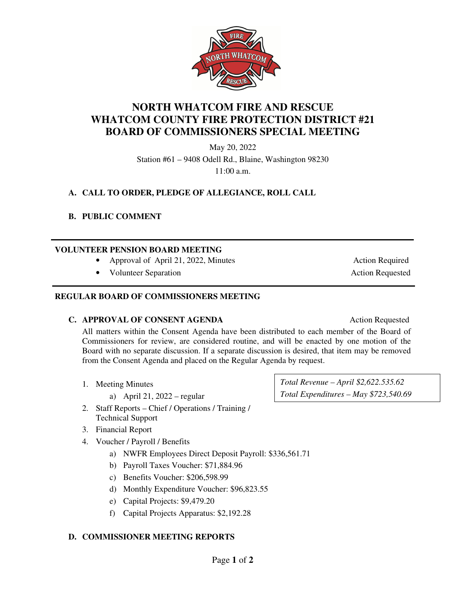

**NORTH WHATCOM FIRE AND RESCUE WHATCOM COUNTY FIRE PROTECTION DISTRICT #21 BOARD OF COMMISSIONERS SPECIAL MEETING** 

> May 20, 2022 Station #61 – 9408 Odell Rd., Blaine, Washington 98230 11:00 a.m.

# **A. CALL TO ORDER, PLEDGE OF ALLEGIANCE, ROLL CALL**

#### **B. PUBLIC COMMENT**

l

#### **VOLUNTEER PENSION BOARD MEETING**

- Approval of April 21, 2022, Minutes Action Required
- **Volunteer Separation** Action Requested

#### **REGULAR BOARD OF COMMISSIONERS MEETING**

#### **C. APPROVAL OF CONSENT AGENDA** Action Requested

All matters within the Consent Agenda have been distributed to each member of the Board of Commissioners for review, are considered routine, and will be enacted by one motion of the Board with no separate discussion. If a separate discussion is desired, that item may be removed from the Consent Agenda and placed on the Regular Agenda by request.

- 1. Meeting Minutes
	- a) April 21, 2022 regular
- 2. Staff Reports Chief / Operations / Training / Technical Support
- 3. Financial Report
- 4. Voucher / Payroll / Benefits
	- a) NWFR Employees Direct Deposit Payroll: \$336,561.71
	- b) Payroll Taxes Voucher: \$71,884.96
	- c) Benefits Voucher: \$206,598.99
	- d) Monthly Expenditure Voucher: \$96,823.55
	- e) Capital Projects: \$9,479.20
	- f) Capital Projects Apparatus: \$2,192.28

#### **D. COMMISSIONER MEETING REPORTS**

*Total Revenue – April \$2,622.535.62 Total Expenditures – May \$723,540.69*

**WHATO**